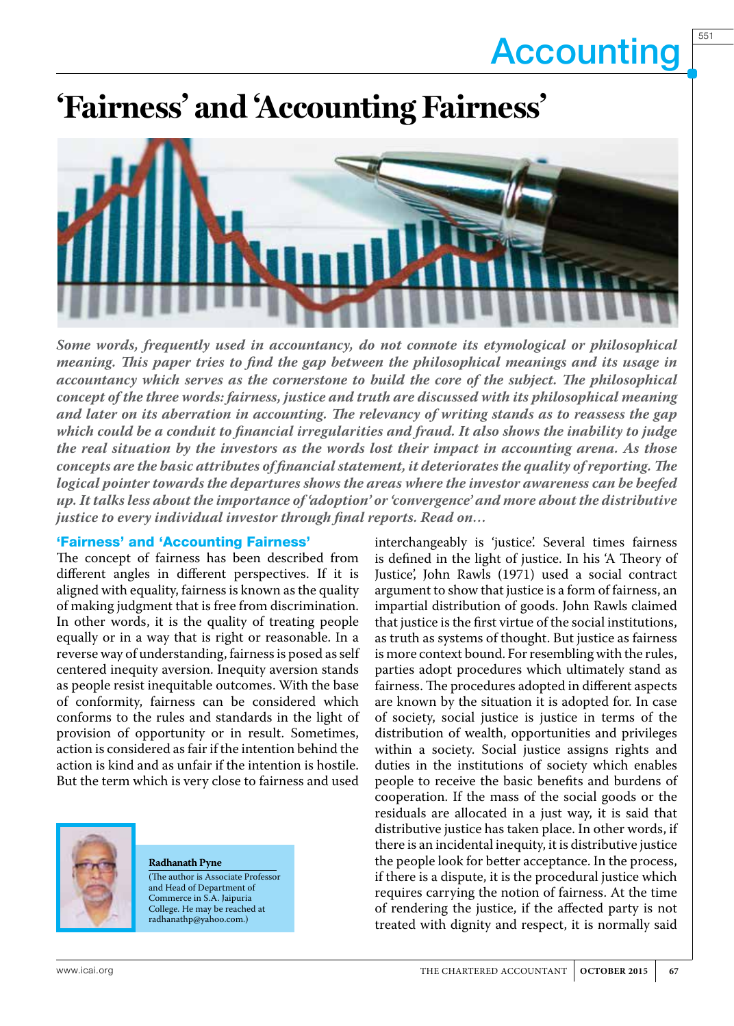551

## **'Fairness' and 'Accounting Fairness'**



*Some words, frequently used in accountancy, do not connote its etymological or philosophical meaning. This paper tries to find the gap between the philosophical meanings and its usage in accountancy which serves as the cornerstone to build the core of the subject. The philosophical concept of the three words: fairness, justice and truth are discussed with its philosophical meaning and later on its aberration in accounting. The relevancy of writing stands as to reassess the gap which could be a conduit to financial irregularities and fraud. It also shows the inability to judge the real situation by the investors as the words lost their impact in accounting arena. As those concepts are the basic attributes of financial statement, it deteriorates the quality of reporting. The logical pointer towards the departures shows the areas where the investor awareness can be beefed up. It talks less about the importance of 'adoption' or 'convergence' and more about the distributive justice to every individual investor through final reports. Read on…*

#### 'Fairness' and 'Accounting Fairness'

The concept of fairness has been described from different angles in different perspectives. If it is aligned with equality, fairness is known as the quality of making judgment that is free from discrimination. In other words, it is the quality of treating people equally or in a way that is right or reasonable. In a reverse way of understanding, fairness is posed as self centered inequity aversion. Inequity aversion stands as people resist inequitable outcomes. With the base of conformity, fairness can be considered which conforms to the rules and standards in the light of provision of opportunity or in result. Sometimes, action is considered as fair if the intention behind the action is kind and as unfair if the intention is hostile. But the term which is very close to fairness and used



#### **Radhanath Pyne**

(The author is Associate Professor and Head of Department of Commerce in S.A. Jaipuria College. He may be reached at radhanathp@yahoo.com.)

interchangeably is 'justice'. Several times fairness is defined in the light of justice. In his 'A Theory of Justice', John Rawls (1971) used a social contract argument to show that justice is a form of fairness, an impartial distribution of goods. John Rawls claimed that justice is the first virtue of the social institutions, as truth as systems of thought. But justice as fairness is more context bound. For resembling with the rules, parties adopt procedures which ultimately stand as fairness. The procedures adopted in different aspects are known by the situation it is adopted for. In case of society, social justice is justice in terms of the distribution of wealth, opportunities and privileges within a society. Social justice assigns rights and duties in the institutions of society which enables people to receive the basic benefits and burdens of cooperation. If the mass of the social goods or the residuals are allocated in a just way, it is said that distributive justice has taken place. In other words, if there is an incidental inequity, it is distributive justice the people look for better acceptance. In the process, if there is a dispute, it is the procedural justice which requires carrying the notion of fairness. At the time of rendering the justice, if the affected party is not treated with dignity and respect, it is normally said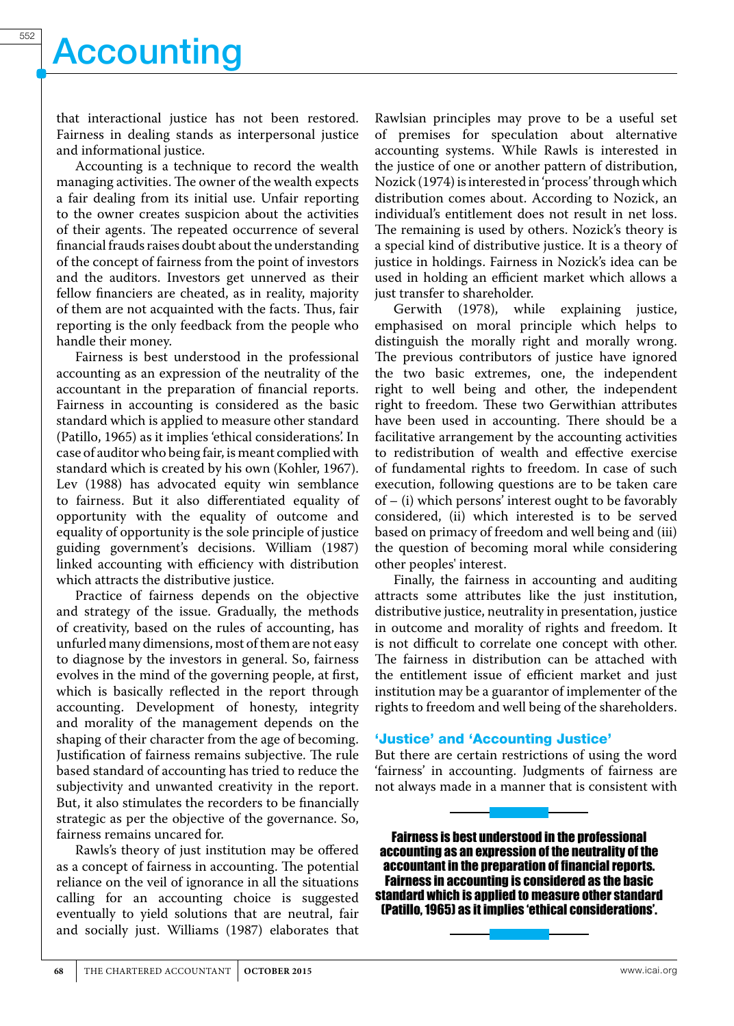that interactional justice has not been restored. Fairness in dealing stands as interpersonal justice and informational justice.

Accounting is a technique to record the wealth managing activities. The owner of the wealth expects a fair dealing from its initial use. Unfair reporting to the owner creates suspicion about the activities of their agents. The repeated occurrence of several financial frauds raises doubt about the understanding of the concept of fairness from the point of investors and the auditors. Investors get unnerved as their fellow financiers are cheated, as in reality, majority of them are not acquainted with the facts. Thus, fair reporting is the only feedback from the people who handle their money.

Fairness is best understood in the professional accounting as an expression of the neutrality of the accountant in the preparation of financial reports. Fairness in accounting is considered as the basic standard which is applied to measure other standard (Patillo, 1965) as it implies 'ethical considerations'. In case of auditor who being fair, is meant complied with standard which is created by his own (Kohler, 1967). Lev (1988) has advocated equity win semblance to fairness. But it also differentiated equality of opportunity with the equality of outcome and equality of opportunity is the sole principle of justice guiding government's decisions. William (1987) linked accounting with efficiency with distribution which attracts the distributive justice.

Practice of fairness depends on the objective and strategy of the issue. Gradually, the methods of creativity, based on the rules of accounting, has unfurled many dimensions, most of them are not easy to diagnose by the investors in general. So, fairness evolves in the mind of the governing people, at first, which is basically reflected in the report through accounting. Development of honesty, integrity and morality of the management depends on the shaping of their character from the age of becoming. Justification of fairness remains subjective. The rule based standard of accounting has tried to reduce the subjectivity and unwanted creativity in the report. But, it also stimulates the recorders to be financially strategic as per the objective of the governance. So, fairness remains uncared for.

Rawls's theory of just institution may be offered as a concept of fairness in accounting. The potential reliance on the veil of ignorance in all the situations calling for an accounting choice is suggested eventually to yield solutions that are neutral, fair and socially just. Williams (1987) elaborates that

Rawlsian principles may prove to be a useful set of premises for speculation about alternative accounting systems. While Rawls is interested in the justice of one or another pattern of distribution, Nozick (1974) is interested in 'process' through which distribution comes about. According to Nozick, an individual's entitlement does not result in net loss. The remaining is used by others. Nozick's theory is a special kind of distributive justice. It is a theory of justice in holdings. Fairness in Nozick's idea can be used in holding an efficient market which allows a just transfer to shareholder.

Gerwith (1978), while explaining justice, emphasised on moral principle which helps to distinguish the morally right and morally wrong. The previous contributors of justice have ignored the two basic extremes, one, the independent right to well being and other, the independent right to freedom. These two Gerwithian attributes have been used in accounting. There should be a facilitative arrangement by the accounting activities to redistribution of wealth and effective exercise of fundamental rights to freedom. In case of such execution, following questions are to be taken care of – (i) which persons' interest ought to be favorably considered, (ii) which interested is to be served based on primacy of freedom and well being and (iii) the question of becoming moral while considering other peoples' interest.

Finally, the fairness in accounting and auditing attracts some attributes like the just institution, distributive justice, neutrality in presentation, justice in outcome and morality of rights and freedom. It is not difficult to correlate one concept with other. The fairness in distribution can be attached with the entitlement issue of efficient market and just institution may be a guarantor of implementer of the rights to freedom and well being of the shareholders.

#### 'Justice' and 'Accounting Justice'

But there are certain restrictions of using the word 'fairness' in accounting. Judgments of fairness are not always made in a manner that is consistent with

Fairness is best understood in the professional accounting as an expression of the neutrality of the accountant in the preparation of financial reports. Fairness in accounting is considered as the basic standard which is applied to measure other standard (Patillo, 1965) as it implies 'ethical considerations'.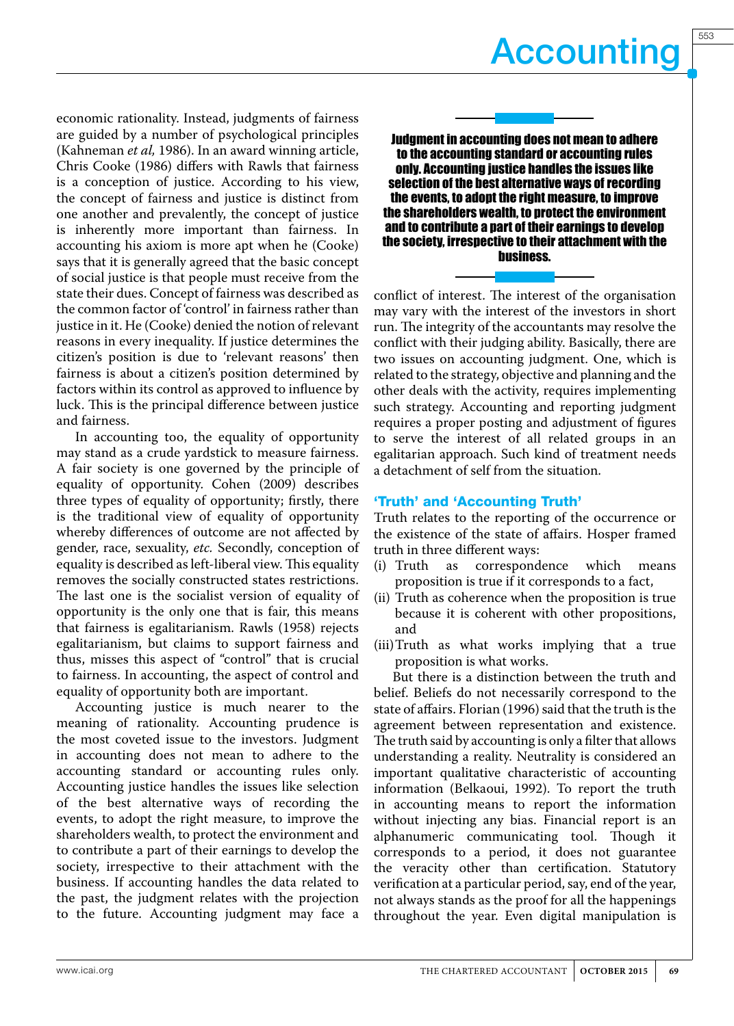economic rationality. Instead, judgments of fairness are guided by a number of psychological principles (Kahneman *et al,* 1986). In an award winning article, Chris Cooke (1986) differs with Rawls that fairness is a conception of justice. According to his view, the concept of fairness and justice is distinct from one another and prevalently, the concept of justice is inherently more important than fairness. In accounting his axiom is more apt when he (Cooke) says that it is generally agreed that the basic concept of social justice is that people must receive from the state their dues. Concept of fairness was described as the common factor of 'control' in fairness rather than justice in it. He (Cooke) denied the notion of relevant reasons in every inequality. If justice determines the citizen's position is due to 'relevant reasons' then fairness is about a citizen's position determined by factors within its control as approved to influence by luck. This is the principal difference between justice and fairness.

In accounting too, the equality of opportunity may stand as a crude yardstick to measure fairness. A fair society is one governed by the principle of equality of opportunity. Cohen (2009) describes three types of equality of opportunity; firstly, there is the traditional view of equality of opportunity whereby differences of outcome are not affected by gender, race, sexuality, *etc.* Secondly, conception of equality is described as left-liberal view. This equality removes the socially constructed states restrictions. The last one is the socialist version of equality of opportunity is the only one that is fair, this means that fairness is egalitarianism. Rawls (1958) rejects egalitarianism, but claims to support fairness and thus, misses this aspect of "control" that is crucial to fairness. In accounting, the aspect of control and equality of opportunity both are important.

Accounting justice is much nearer to the meaning of rationality. Accounting prudence is the most coveted issue to the investors. Judgment in accounting does not mean to adhere to the accounting standard or accounting rules only. Accounting justice handles the issues like selection of the best alternative ways of recording the events, to adopt the right measure, to improve the shareholders wealth, to protect the environment and to contribute a part of their earnings to develop the society, irrespective to their attachment with the business. If accounting handles the data related to the past, the judgment relates with the projection to the future. Accounting judgment may face a



Judgment in accounting does not mean to adhere to the accounting standard or accounting rules only. Accounting justice handles the issues like selection of the best alternative ways of recording the events, to adopt the right measure, to improve the shareholders wealth, to protect the environment and to contribute a part of their earnings to develop the society, irrespective to their attachment with the business.

conflict of interest. The interest of the organisation may vary with the interest of the investors in short run. The integrity of the accountants may resolve the conflict with their judging ability. Basically, there are two issues on accounting judgment. One, which is related to the strategy, objective and planning and the other deals with the activity, requires implementing such strategy. Accounting and reporting judgment requires a proper posting and adjustment of figures to serve the interest of all related groups in an egalitarian approach. Such kind of treatment needs a detachment of self from the situation.

#### 'Truth' and 'Accounting Truth'

Truth relates to the reporting of the occurrence or the existence of the state of affairs. Hosper framed truth in three different ways:

- (i) Truth as correspondence which means proposition is true if it corresponds to a fact,
- (ii) Truth as coherence when the proposition is true because it is coherent with other propositions, and
- (iii)Truth as what works implying that a true proposition is what works.

But there is a distinction between the truth and belief. Beliefs do not necessarily correspond to the state of affairs. Florian (1996) said that the truth is the agreement between representation and existence. The truth said by accounting is only a filter that allows understanding a reality. Neutrality is considered an important qualitative characteristic of accounting information (Belkaoui, 1992). To report the truth in accounting means to report the information without injecting any bias. Financial report is an alphanumeric communicating tool. Though it corresponds to a period, it does not guarantee the veracity other than certification. Statutory verification at a particular period, say, end of the year, not always stands as the proof for all the happenings throughout the year. Even digital manipulation is